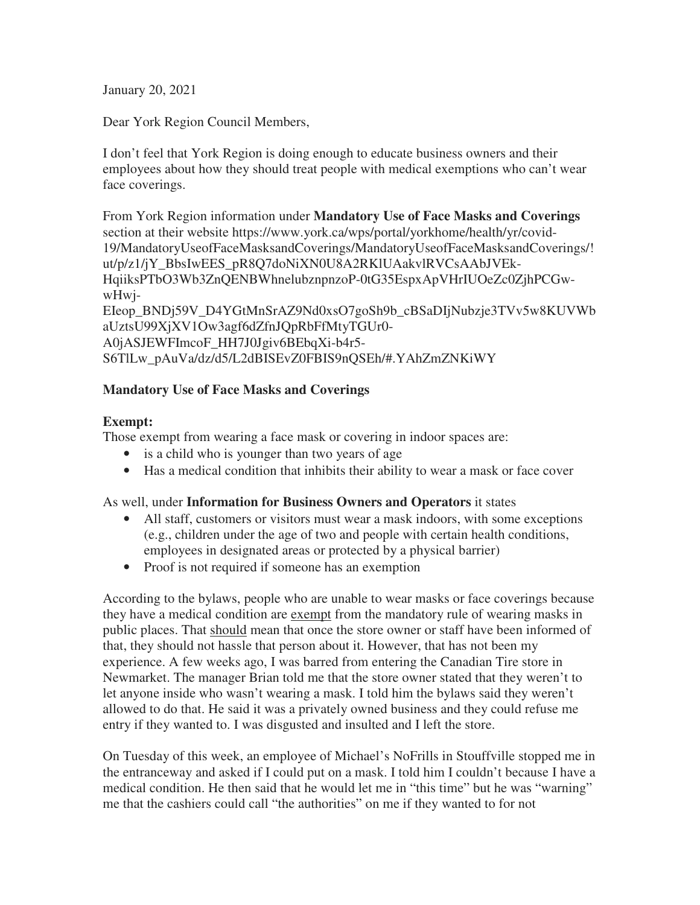January 20, 2021

Dear York Region Council Members,

I don't feel that York Region is doing enough to educate business owners and their employees about how they should treat people with medical exemptions who can't wear face coverings.

From York Region information under **Mandatory Use of Face Masks and Coverings**  section at their website https://www.york.ca/wps/portal/yorkhome/health/yr/covid-19/MandatoryUseofFaceMasksandCoverings/MandatoryUseofFaceMasksandCoverings/! ut/p/z1/jY\_BbsIwEES\_pR8Q7doNiXN0U8A2RKlUAakvlRVCsAAbJVEk-HqiiksPTbO3Wb3ZnQENBWhnelubznpnzoP-0tG35EspxApVHrIUOeZc0ZjhPCGwwHwj-

EIeop\_BNDj59V\_D4YGtMnSrAZ9Nd0xsO7goSh9b\_cBSaDIjNubzje3TVv5w8KUVWb aUztsU99XjXV1Ow3agf6dZfnJQpRbFfMtyTGUr0- A0jASJEWFImcoF\_HH7J0Jgiv6BEbqXi-b4r5- S6TlLw\_pAuVa/dz/d5/L2dBISEvZ0FBIS9nQSEh/#.YAhZmZNKiWY

## **Mandatory Use of Face Masks and Coverings**

## **Exempt:**

Those exempt from wearing a face mask or covering in indoor spaces are:

- is a child who is younger than two years of age
- Has a medical condition that inhibits their ability to wear a mask or face cover

As well, under **Information for Business Owners and Operators** it states

- All staff, customers or visitors must wear a mask indoors, with some exceptions (e.g., children under the age of two and people with certain health conditions, employees in designated areas or protected by a physical barrier)
- Proof is not required if someone has an exemption

According to the bylaws, people who are unable to wear masks or face coverings because they have a medical condition are exempt from the mandatory rule of wearing masks in public places. That should mean that once the store owner or staff have been informed of that, they should not hassle that person about it. However, that has not been my experience. A few weeks ago, I was barred from entering the Canadian Tire store in Newmarket. The manager Brian told me that the store owner stated that they weren't to let anyone inside who wasn't wearing a mask. I told him the bylaws said they weren't allowed to do that. He said it was a privately owned business and they could refuse me entry if they wanted to. I was disgusted and insulted and I left the store.

On Tuesday of this week, an employee of Michael's NoFrills in Stouffville stopped me in the entranceway and asked if I could put on a mask. I told him I couldn't because I have a medical condition. He then said that he would let me in "this time" but he was "warning" me that the cashiers could call "the authorities" on me if they wanted to for not